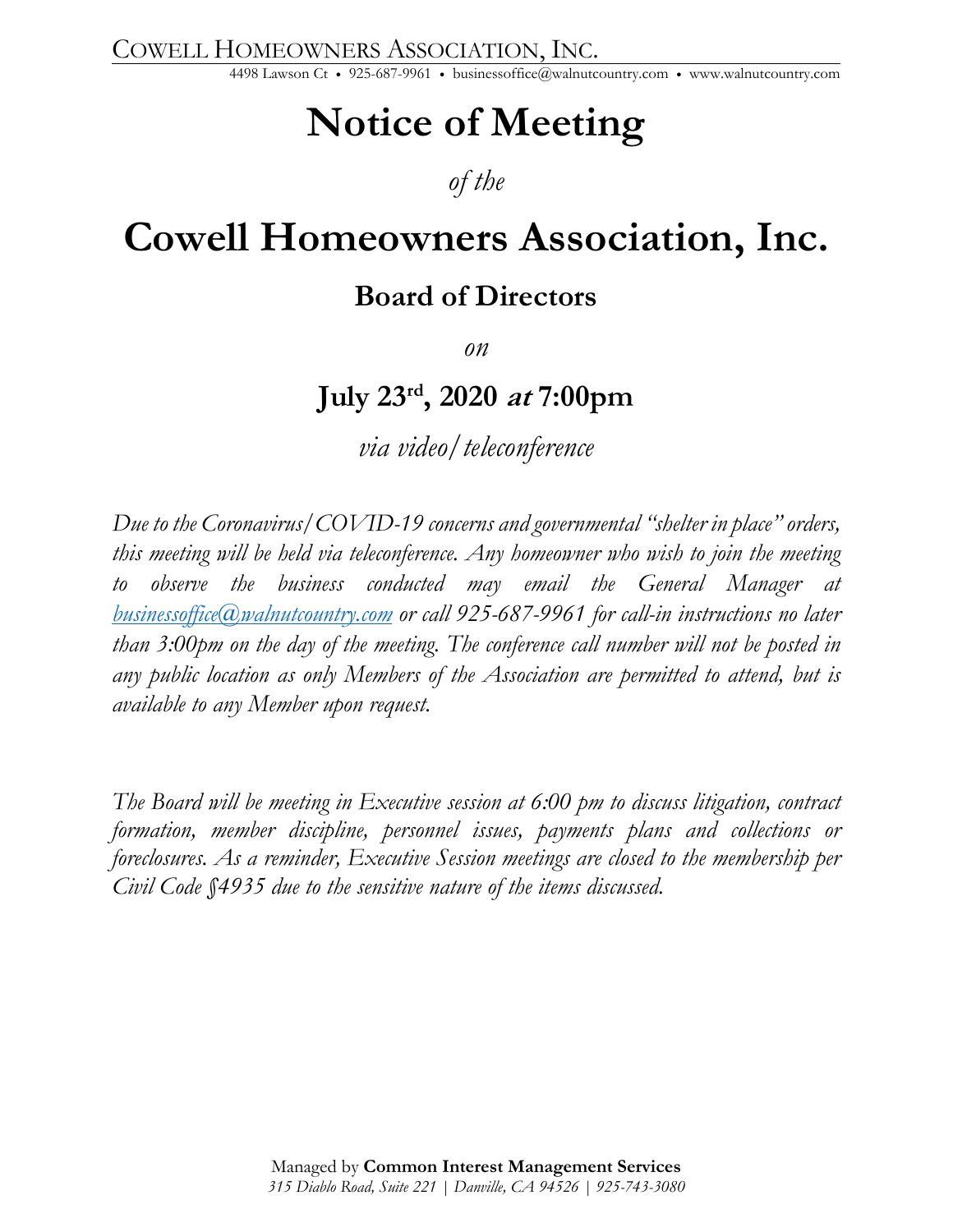COWELL HOMEOWNERS ASSOCIATION, INC. 4498 Lawson Ct • 925-687-9961 • businessoffice@walnutcountry.com • www.walnutcountry.com

## **Notice of Meeting**

### *of the*

# **Cowell Homeowners Association, Inc.**

### **Board of Directors**

*on* 

### **July 23rd, 2020 at 7:00pm**

*via video/teleconference* 

*Due to the Coronavirus/COVID-19 concerns and governmental "shelter in place" orders, this meeting will be held via teleconference. Any homeowner who wish to join the meeting to observe the business conducted may email the General Manager at businessoffice@walnutcountry.com or call 925-687-9961 for call-in instructions no later than 3:00pm on the day of the meeting. The conference call number will not be posted in any public location as only Members of the Association are permitted to attend, but is available to any Member upon request.* 

*The Board will be meeting in Executive session at 6:00 pm to discuss litigation, contract formation, member discipline, personnel issues, payments plans and collections or foreclosures. As a reminder, Executive Session meetings are closed to the membership per Civil Code §4935 due to the sensitive nature of the items discussed.*